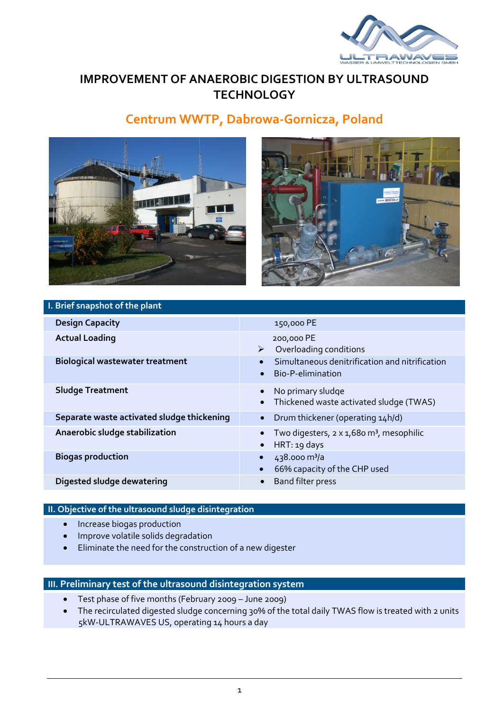

# **IMPROVEMENT OF ANAEROBIC DIGESTION BY ULTRASOUND TECHNOLOGY**

# **Centrum WWTP, Dabrowa-Gornicza, Poland**





### **I. Brief snapshot of the plant**

| <b>Design Capacity</b>                     | 150,000 PE                                                                                    |
|--------------------------------------------|-----------------------------------------------------------------------------------------------|
| <b>Actual Loading</b>                      | 200,000 PE<br>Overloading conditions<br>➤                                                     |
| <b>Biological wastewater treatment</b>     | Simultaneous denitrification and nitrification<br>$\bullet$<br>Bio-P-elimination<br>$\bullet$ |
| <b>Sludge Treatment</b>                    | No primary sludge<br>$\bullet$<br>Thickened waste activated sludge (TWAS)<br>$\bullet$        |
| Separate waste activated sludge thickening | Drum thickener (operating 14h/d)                                                              |
| Anaerobic sludge stabilization             | Two digesters, 2 x 1,680 m <sup>3</sup> , mesophilic<br>HRT: 19 days<br>$\bullet$             |
| <b>Biogas production</b>                   | $438.000 \text{ m}^3/\text{a}$<br>66% capacity of the CHP used                                |
| Digested sludge dewatering                 | Band filter press<br>$\bullet$                                                                |

#### **II. Objective of the ultrasound sludge disintegration**

- Increase biogas production
- **•** Improve volatile solids degradation
- Eliminate the need for the construction of a new digester

#### **III. Preliminary test of the ultrasound disintegration system**

- Test phase of five months (February 2009 June 2009)
- The recirculated digested sludge concerning 30% of the total daily TWAS flow is treated with 2 units 5kW-ULTRAWAVES US, operating 14 hours a day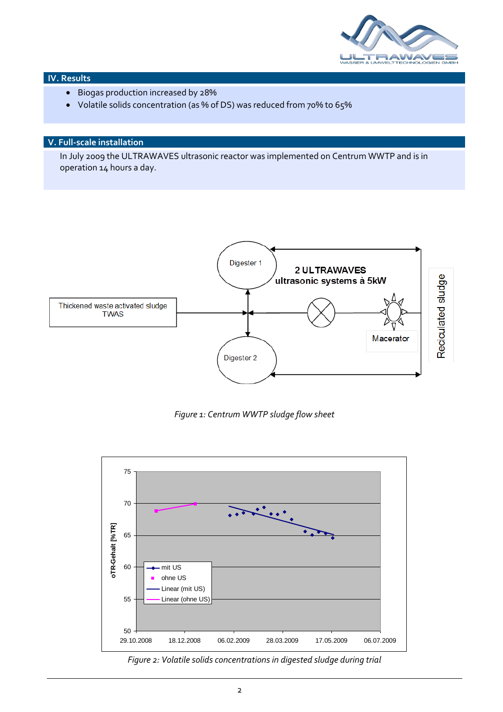

#### **IV. Results**

- Biogas production increased by 28%
- Volatile solids concentration (as % of DS) was reduced from 70% to 65%

## **V. Full-scale installation**

In July 2009 the ULTRAWAVES ultrasonic reactor was implemented on Centrum WWTP and is in operation 14 hours a day.



*Figure 1: Centrum WWTP sludge flow sheet*



*Figure 2: Volatile solids concentrations in digested sludge during trial*